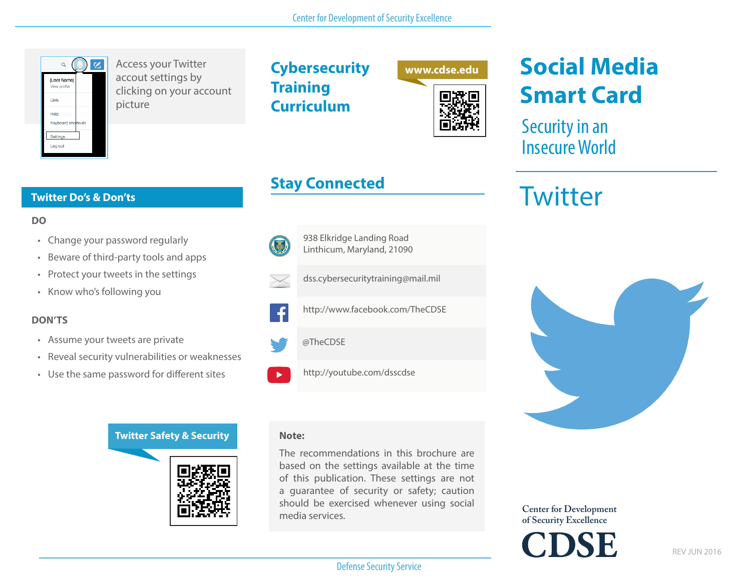

**Twitter Do's & Don'ts**

Access your Twitter accout settings by clicking on your account picture

**Cybersecurity Training Curriculum**



## **Stay Connected**

**DO**

- Change your password regularly
- Beware of third-party tools and apps
- Protect your tweets in the settings
- Know who's following you

#### **DON'TS**

- Assume your tweets are private
- Reveal security vulnerabilities or weaknesses
- Use the same password for different sites



## (基)





http://www.facebook.com/TheCDSE

dss.cybersecuritytraining@mail.mil

938 Elkridge Landing Road Linthicum, Maryland, 21090

@TheCDSE

http://youtube.com/dsscdse

#### **Note:**

The recommendations in this brochure are based on the settings available at the time of this publication. These settings are not a guarantee of security or safety; caution should be exercised whenever using social media services.

**Social Media Smart Card**

Security in an Insecure World

# **Twitter**



**Center for Development of Security Excellence**

Defense Security Service